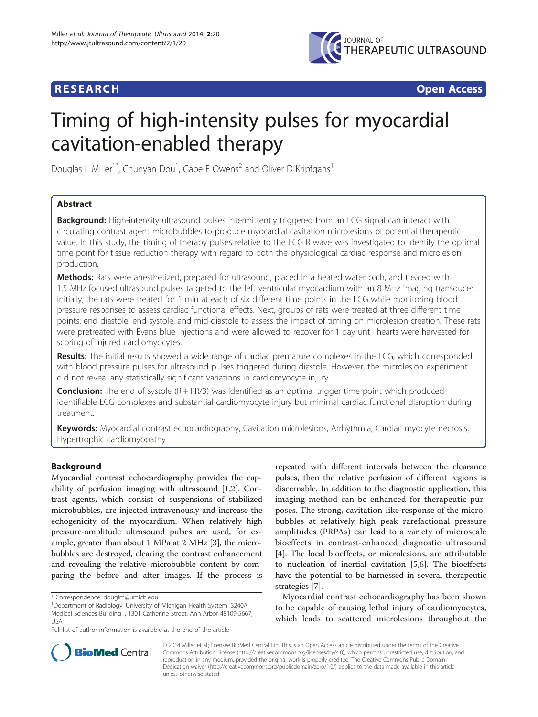

## **RESEARCH RESEARCH** *CHECKER CHECKER CHECKER CHECKER CHECKER CHECKER CHECKER CHECKER CHECKER CHECKER CHECKER*

# Timing of high-intensity pulses for myocardial cavitation-enabled therapy

Douglas L Miller<sup>1\*</sup>, Chunyan Dou<sup>1</sup>, Gabe E Owens<sup>2</sup> and Oliver D Kripfgans<sup>1</sup>

## Abstract

Background: High-intensity ultrasound pulses intermittently triggered from an ECG signal can interact with circulating contrast agent microbubbles to produce myocardial cavitation microlesions of potential therapeutic value. In this study, the timing of therapy pulses relative to the ECG R wave was investigated to identify the optimal time point for tissue reduction therapy with regard to both the physiological cardiac response and microlesion production.

Methods: Rats were anesthetized, prepared for ultrasound, placed in a heated water bath, and treated with 1.5 MHz focused ultrasound pulses targeted to the left ventricular myocardium with an 8 MHz imaging transducer. Initially, the rats were treated for 1 min at each of six different time points in the ECG while monitoring blood pressure responses to assess cardiac functional effects. Next, groups of rats were treated at three different time points: end diastole, end systole, and mid-diastole to assess the impact of timing on microlesion creation. These rats were pretreated with Evans blue injections and were allowed to recover for 1 day until hearts were harvested for scoring of injured cardiomyocytes.

Results: The initial results showed a wide range of cardiac premature complexes in the ECG, which corresponded with blood pressure pulses for ultrasound pulses triggered during diastole. However, the microlesion experiment did not reveal any statistically significant variations in cardiomyocyte injury.

**Conclusion:** The end of systole  $(R + RR/3)$  was identified as an optimal trigger time point which produced identifiable ECG complexes and substantial cardiomyocyte injury but minimal cardiac functional disruption during treatment.

Keywords: Myocardial contrast echocardiography, Cavitation microlesions, Arrhythmia, Cardiac myocyte necrosis, Hypertrophic cardiomyopathy

## Background

Myocardial contrast echocardiography provides the capability of perfusion imaging with ultrasound [[1,2](#page-6-0)]. Contrast agents, which consist of suspensions of stabilized microbubbles, are injected intravenously and increase the echogenicity of the myocardium. When relatively high pressure-amplitude ultrasound pulses are used, for example, greater than about 1 MPa at 2 MHz [\[3](#page-6-0)], the microbubbles are destroyed, clearing the contrast enhancement and revealing the relative microbubble content by comparing the before and after images. If the process is

repeated with different intervals between the clearance pulses, then the relative perfusion of different regions is discernable. In addition to the diagnostic application, this imaging method can be enhanced for therapeutic purposes. The strong, cavitation-like response of the microbubbles at relatively high peak rarefactional pressure amplitudes (PRPAs) can lead to a variety of microscale bioeffects in contrast-enhanced diagnostic ultrasound [[4\]](#page-6-0). The local bioeffects, or microlesions, are attributable to nucleation of inertial cavitation [[5](#page-6-0),[6](#page-6-0)]. The bioeffects have the potential to be harnessed in several therapeutic strategies [[7](#page-6-0)].

Myocardial contrast echocardiography has been shown to be capable of causing lethal injury of cardiomyocytes, which leads to scattered microlesions throughout the



© 2014 Miller et al.; licensee BioMed Central Ltd. This is an Open Access article distributed under the terms of the Creative Commons Attribution License [\(http://creativecommons.org/licenses/by/4.0\)](http://creativecommons.org/licenses/by/4.0), which permits unrestricted use, distribution, and reproduction in any medium, provided the original work is properly credited. The Creative Commons Public Domain Dedication waiver [\(http://creativecommons.org/publicdomain/zero/1.0/](http://creativecommons.org/publicdomain/zero/1.0/)) applies to the data made available in this article, unless otherwise stated.

<sup>\*</sup> Correspondence: [douglm@umich.edu](mailto:douglm@umich.edu) <sup>1</sup>

Department of Radiology, University of Michigan Health System, 3240A Medical Sciences Building I, 1301 Catherine Street, Ann Arbor 48109-5667, USA

Full list of author information is available at the end of the article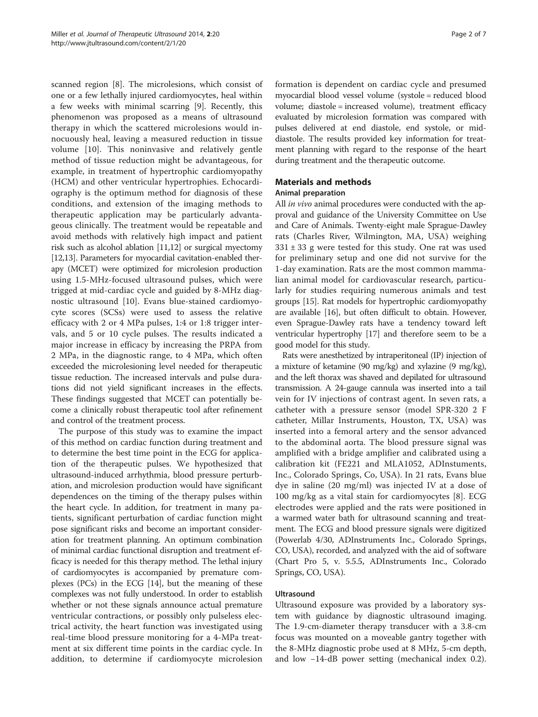scanned region [[8](#page-6-0)]. The microlesions, which consist of one or a few lethally injured cardiomyocytes, heal within a few weeks with minimal scarring [\[9](#page-6-0)]. Recently, this phenomenon was proposed as a means of ultrasound therapy in which the scattered microlesions would innocuously heal, leaving a measured reduction in tissue volume [[10](#page-6-0)]. This noninvasive and relatively gentle method of tissue reduction might be advantageous, for example, in treatment of hypertrophic cardiomyopathy (HCM) and other ventricular hypertrophies. Echocardiography is the optimum method for diagnosis of these conditions, and extension of the imaging methods to therapeutic application may be particularly advantageous clinically. The treatment would be repeatable and avoid methods with relatively high impact and patient risk such as alcohol ablation [[11,12\]](#page-6-0) or surgical myectomy [[12,13\]](#page-6-0). Parameters for myocardial cavitation-enabled therapy (MCET) were optimized for microlesion production using 1.5-MHz-focused ultrasound pulses, which were trigged at mid-cardiac cycle and guided by 8-MHz diagnostic ultrasound [[10](#page-6-0)]. Evans blue-stained cardiomyocyte scores (SCSs) were used to assess the relative efficacy with 2 or 4 MPa pulses, 1:4 or 1:8 trigger intervals, and 5 or 10 cycle pulses. The results indicated a major increase in efficacy by increasing the PRPA from 2 MPa, in the diagnostic range, to 4 MPa, which often exceeded the microlesioning level needed for therapeutic tissue reduction. The increased intervals and pulse durations did not yield significant increases in the effects. These findings suggested that MCET can potentially become a clinically robust therapeutic tool after refinement and control of the treatment process.

The purpose of this study was to examine the impact of this method on cardiac function during treatment and to determine the best time point in the ECG for application of the therapeutic pulses. We hypothesized that ultrasound-induced arrhythmia, blood pressure perturbation, and microlesion production would have significant dependences on the timing of the therapy pulses within the heart cycle. In addition, for treatment in many patients, significant perturbation of cardiac function might pose significant risks and become an important consideration for treatment planning. An optimum combination of minimal cardiac functional disruption and treatment efficacy is needed for this therapy method. The lethal injury of cardiomyocytes is accompanied by premature complexes (PCs) in the ECG [\[14](#page-6-0)], but the meaning of these complexes was not fully understood. In order to establish whether or not these signals announce actual premature ventricular contractions, or possibly only pulseless electrical activity, the heart function was investigated using real-time blood pressure monitoring for a 4-MPa treatment at six different time points in the cardiac cycle. In addition, to determine if cardiomyocyte microlesion

formation is dependent on cardiac cycle and presumed myocardial blood vessel volume (systole = reduced blood volume; diastole = increased volume), treatment efficacy evaluated by microlesion formation was compared with pulses delivered at end diastole, end systole, or middiastole. The results provided key information for treatment planning with regard to the response of the heart during treatment and the therapeutic outcome.

## Materials and methods

### Animal preparation

All in vivo animal procedures were conducted with the approval and guidance of the University Committee on Use and Care of Animals. Twenty-eight male Sprague-Dawley rats (Charles River, Wilmington, MA, USA) weighing  $331 \pm 33$  g were tested for this study. One rat was used for preliminary setup and one did not survive for the 1-day examination. Rats are the most common mammalian animal model for cardiovascular research, particularly for studies requiring numerous animals and test groups [\[15](#page-6-0)]. Rat models for hypertrophic cardiomyopathy are available [\[16\]](#page-6-0), but often difficult to obtain. However, even Sprague-Dawley rats have a tendency toward left ventricular hypertrophy [\[17\]](#page-6-0) and therefore seem to be a good model for this study.

Rats were anesthetized by intraperitoneal (IP) injection of a mixture of ketamine (90 mg/kg) and xylazine (9 mg/kg), and the left thorax was shaved and depilated for ultrasound transmission. A 24-gauge cannula was inserted into a tail vein for IV injections of contrast agent. In seven rats, a catheter with a pressure sensor (model SPR-320 2 F catheter, Millar Instruments, Houston, TX, USA) was inserted into a femoral artery and the sensor advanced to the abdominal aorta. The blood pressure signal was amplified with a bridge amplifier and calibrated using a calibration kit (FE221 and MLA1052, ADInstuments, Inc., Colorado Springs, Co, USA). In 21 rats, Evans blue dye in saline (20 mg/ml) was injected IV at a dose of 100 mg/kg as a vital stain for cardiomyocytes [[8\]](#page-6-0). ECG electrodes were applied and the rats were positioned in a warmed water bath for ultrasound scanning and treatment. The ECG and blood pressure signals were digitized (Powerlab 4/30, ADInstruments Inc., Colorado Springs, CO, USA), recorded, and analyzed with the aid of software (Chart Pro 5, v. 5.5.5, ADInstruments Inc., Colorado Springs, CO, USA).

## **Ultrasound**

Ultrasound exposure was provided by a laboratory system with guidance by diagnostic ultrasound imaging. The 1.9-cm-diameter therapy transducer with a 3.8-cm focus was mounted on a moveable gantry together with the 8-MHz diagnostic probe used at 8 MHz, 5-cm depth, and low −14-dB power setting (mechanical index 0.2).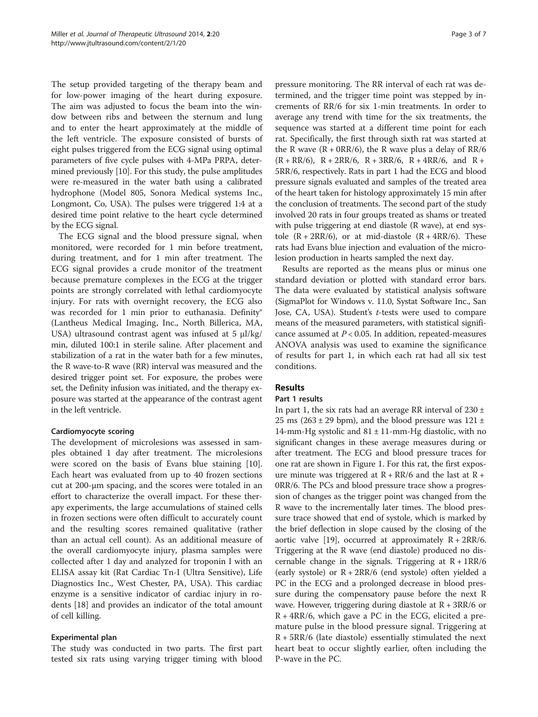The setup provided targeting of the therapy beam and for low-power imaging of the heart during exposure. The aim was adjusted to focus the beam into the window between ribs and between the sternum and lung and to enter the heart approximately at the middle of the left ventricle. The exposure consisted of bursts of eight pulses triggered from the ECG signal using optimal parameters of five cycle pulses with 4-MPa PRPA, determined previously [\[10\]](#page-6-0). For this study, the pulse amplitudes were re-measured in the water bath using a calibrated hydrophone (Model 805, Sonora Medical systems Inc., Longmont, Co, USA). The pulses were triggered 1:4 at a desired time point relative to the heart cycle determined by the ECG signal.

The ECG signal and the blood pressure signal, when monitored, were recorded for 1 min before treatment, during treatment, and for 1 min after treatment. The ECG signal provides a crude monitor of the treatment because premature complexes in the ECG at the trigger points are strongly correlated with lethal cardiomyocyte injury. For rats with overnight recovery, the ECG also was recorded for 1 min prior to euthanasia. Definity® (Lantheus Medical Imaging, Inc., North Billerica, MA, USA) ultrasound contrast agent was infused at 5 μl/kg/ min, diluted 100:1 in sterile saline. After placement and stabilization of a rat in the water bath for a few minutes, the R wave-to-R wave (RR) interval was measured and the desired trigger point set. For exposure, the probes were set, the Definity infusion was initiated, and the therapy exposure was started at the appearance of the contrast agent in the left ventricle.

#### Cardiomyocyte scoring

The development of microlesions was assessed in samples obtained 1 day after treatment. The microlesions were scored on the basis of Evans blue staining [\[10](#page-6-0)]. Each heart was evaluated from up to 40 frozen sections cut at 200-μm spacing, and the scores were totaled in an effort to characterize the overall impact. For these therapy experiments, the large accumulations of stained cells in frozen sections were often difficult to accurately count and the resulting scores remained qualitative (rather than an actual cell count). As an additional measure of the overall cardiomyocyte injury, plasma samples were collected after 1 day and analyzed for troponin I with an ELISA assay kit (Rat Cardiac Tn-I (Ultra Sensitive), Life Diagnostics Inc., West Chester, PA, USA). This cardiac enzyme is a sensitive indicator of cardiac injury in rodents [\[18\]](#page-6-0) and provides an indicator of the total amount of cell killing.

## Experimental plan

The study was conducted in two parts. The first part tested six rats using varying trigger timing with blood

pressure monitoring. The RR interval of each rat was determined, and the trigger time point was stepped by increments of RR/6 for six 1-min treatments. In order to average any trend with time for the six treatments, the sequence was started at a different time point for each rat. Specifically, the first through sixth rat was started at the R wave  $(R + \text{ORR}/6)$ , the R wave plus a delay of RR/6  $(R + RR/6)$ ,  $R + 2RR/6$ ,  $R + 3RR/6$ ,  $R + 4RR/6$ , and  $R +$ 5RR/6, respectively. Rats in part 1 had the ECG and blood pressure signals evaluated and samples of the treated area of the heart taken for histology approximately 15 min after the conclusion of treatments. The second part of the study involved 20 rats in four groups treated as shams or treated with pulse triggering at end diastole (R wave), at end systole  $(R + 2RR/6)$ , or at mid-diastole  $(R + 4RR/6)$ . These rats had Evans blue injection and evaluation of the microlesion production in hearts sampled the next day.

Results are reported as the means plus or minus one standard deviation or plotted with standard error bars. The data were evaluated by statistical analysis software (SigmaPlot for Windows v. 11.0, Systat Software Inc., San Jose, CA, USA). Student's *t*-tests were used to compare means of the measured parameters, with statistical significance assumed at  $P < 0.05$ . In addition, repeated-measures ANOVA analysis was used to examine the significance of results for part 1, in which each rat had all six test conditions.

## Results

#### Part 1 results

In part 1, the six rats had an average RR interval of  $230 \pm$ 25 ms ( $263 \pm 29$  bpm), and the blood pressure was  $121 \pm$ 14-mm-Hg systolic and  $81 \pm 11$ -mm-Hg diastolic, with no significant changes in these average measures during or after treatment. The ECG and blood pressure traces for one rat are shown in Figure [1](#page-3-0). For this rat, the first exposure minute was triggered at  $R + RR/6$  and the last at  $R +$ 0RR/6. The PCs and blood pressure trace show a progression of changes as the trigger point was changed from the R wave to the incrementally later times. The blood pressure trace showed that end of systole, which is marked by the brief deflection in slope caused by the closing of the aortic valve [\[19\]](#page-6-0), occurred at approximately  $R + 2RR/6$ . Triggering at the R wave (end diastole) produced no discernable change in the signals. Triggering at  $R + 1RR/6$ (early systole) or R + 2RR/6 (end systole) often yielded a PC in the ECG and a prolonged decrease in blood pressure during the compensatory pause before the next R wave. However, triggering during diastole at  $R + 3RR/6$  or R + 4RR/6, which gave a PC in the ECG, elicited a premature pulse in the blood pressure signal. Triggering at  $R + 5RR/6$  (late diastole) essentially stimulated the next heart beat to occur slightly earlier, often including the P-wave in the PC.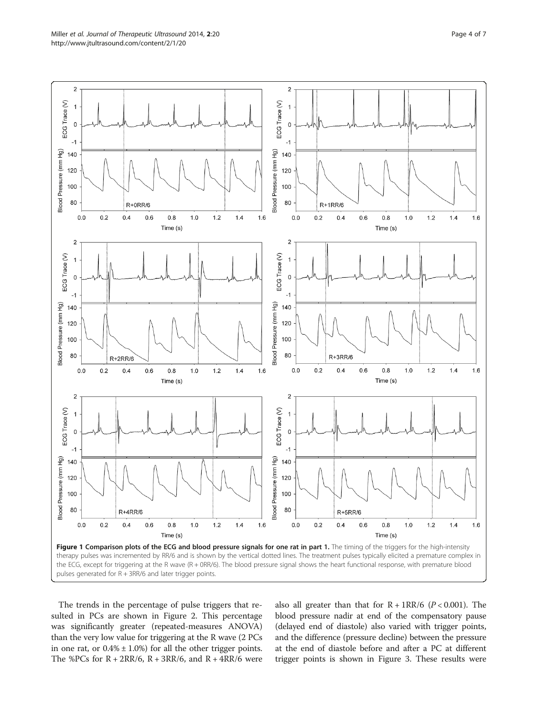<span id="page-3-0"></span>

The trends in the percentage of pulse triggers that resulted in PCs are shown in Figure [2.](#page-4-0) This percentage was significantly greater (repeated-measures ANOVA) than the very low value for triggering at the R wave (2 PCs in one rat, or  $0.4\% \pm 1.0\%$  for all the other trigger points. The %PCs for  $R + 2RR/6$ ,  $R + 3RR/6$ , and  $R + 4RR/6$  were also all greater than that for  $R + 1RR/6$  ( $P < 0.001$ ). The blood pressure nadir at end of the compensatory pause (delayed end of diastole) also varied with trigger points, and the difference (pressure decline) between the pressure at the end of diastole before and after a PC at different trigger points is shown in Figure [3.](#page-4-0) These results were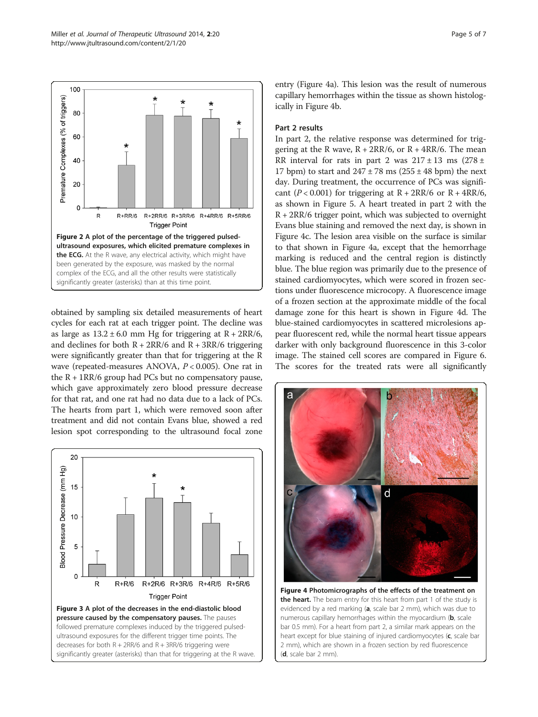<span id="page-4-0"></span>

obtained by sampling six detailed measurements of heart cycles for each rat at each trigger point. The decline was as large as  $13.2 \pm 6.0$  mm Hg for triggering at  $R + 2RR/6$ , and declines for both  $R + 2RR/6$  and  $R + 3RR/6$  triggering were significantly greater than that for triggering at the R wave (repeated-measures ANOVA, P < 0.005). One rat in the  $R + 1RR/6$  group had PCs but no compensatory pause, which gave approximately zero blood pressure decrease for that rat, and one rat had no data due to a lack of PCs. The hearts from part 1, which were removed soon after treatment and did not contain Evans blue, showed a red lesion spot corresponding to the ultrasound focal zone



entry (Figure 4a). This lesion was the result of numerous capillary hemorrhages within the tissue as shown histologically in Figure 4b.

## Part 2 results

In part 2, the relative response was determined for triggering at the R wave,  $R + 2RR/6$ , or  $R + 4RR/6$ . The mean RR interval for rats in part 2 was  $217 \pm 13$  ms  $(278 \pm 12)$ 17 bpm) to start and  $247 \pm 78$  ms ( $255 \pm 48$  bpm) the next day. During treatment, the occurrence of PCs was significant ( $P < 0.001$ ) for triggering at  $R + 2RR/6$  or  $R + 4RR/6$ , as shown in Figure [5.](#page-5-0) A heart treated in part 2 with the  $R + 2RR/6$  trigger point, which was subjected to overnight Evans blue staining and removed the next day, is shown in Figure 4c. The lesion area visible on the surface is similar to that shown in Figure 4a, except that the hemorrhage marking is reduced and the central region is distinctly blue. The blue region was primarily due to the presence of stained cardiomyocytes, which were scored in frozen sections under fluorescence microcopy. A fluorescence image of a frozen section at the approximate middle of the focal damage zone for this heart is shown in Figure 4d. The blue-stained cardiomyocytes in scattered microlesions appear fluorescent red, while the normal heart tissue appears darker with only background fluorescence in this 3-color image. The stained cell scores are compared in Figure [6](#page-5-0). The scores for the treated rats were all significantly



Figure 4 Photomicrographs of the effects of the treatment on the heart. The beam entry for this heart from part 1 of the study is evidenced by a red marking (a, scale bar 2 mm), which was due to numerous capillary hemorrhages within the myocardium (b, scale bar 0.5 mm). For a heart from part 2, a similar mark appears on the heart except for blue staining of injured cardiomyocytes (c, scale bar 2 mm), which are shown in a frozen section by red fluorescence (d, scale bar 2 mm).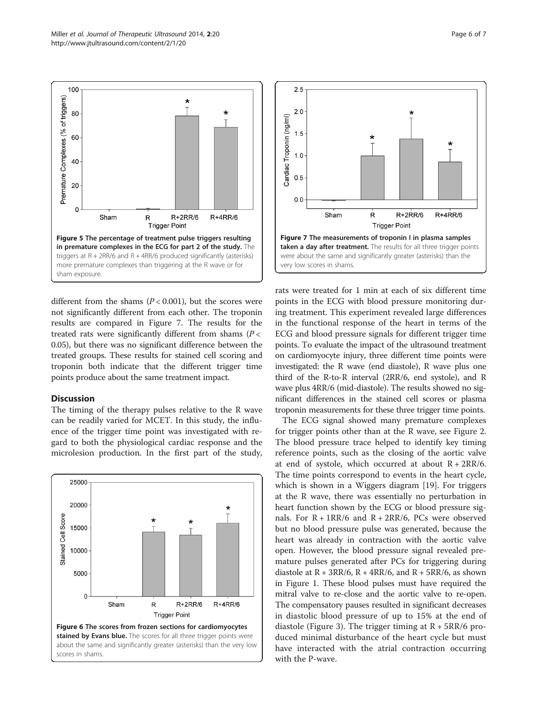different from the shams ( $P < 0.001$ ), but the scores were not significantly different from each other. The troponin results are compared in Figure 7. The results for the treated rats were significantly different from shams ( $P <$ 0.05), but there was no significant difference between the treated groups. These results for stained cell scoring and troponin both indicate that the different trigger time points produce about the same treatment impact.

#### **Discussion**

sham exposure.

100

80

60

40

20

0

Sham

Premature Complexes (% of triggers)

The timing of the therapy pulses relative to the R wave can be readily varied for MCET. In this study, the influence of the trigger time point was investigated with regard to both the physiological cardiac response and the microlesion production. In the first part of the study,



rats were treated for 1 min at each of six different time points in the ECG with blood pressure monitoring during treatment. This experiment revealed large differences in the functional response of the heart in terms of the ECG and blood pressure signals for different trigger time points. To evaluate the impact of the ultrasound treatment on cardiomyocyte injury, three different time points were investigated: the R wave (end diastole), R wave plus one third of the R-to-R interval (2RR/6, end systole), and R wave plus 4RR/6 (mid-diastole). The results showed no significant differences in the stained cell scores or plasma troponin measurements for these three trigger time points.

 $\mathsf{R}$ 

 $R+2RR/6$ 

**Trigger Point** 

 $R+4RR/6$ 

The ECG signal showed many premature complexes for trigger points other than at the R wave, see Figure [2](#page-4-0). The blood pressure trace helped to identify key timing reference points, such as the closing of the aortic valve at end of systole, which occurred at about  $R + 2RR/6$ . The time points correspond to events in the heart cycle, which is shown in a Wiggers diagram [\[19](#page-6-0)]. For triggers at the R wave, there was essentially no perturbation in heart function shown by the ECG or blood pressure signals. For  $R + 1RR/6$  and  $R + 2RR/6$ , PCs were observed but no blood pressure pulse was generated, because the heart was already in contraction with the aortic valve open. However, the blood pressure signal revealed premature pulses generated after PCs for triggering during diastole at  $R + 3RR/6$ ,  $R + 4RR/6$ , and  $R + 5RR/6$ , as shown in Figure [1](#page-3-0). These blood pulses must have required the mitral valve to re-close and the aortic valve to re-open. The compensatory pauses resulted in significant decreases in diastolic blood pressure of up to 15% at the end of diastole (Figure [3](#page-4-0)). The trigger timing at  $R + 5RR/6$  produced minimal disturbance of the heart cycle but must have interacted with the atrial contraction occurring with the P-wave.

<span id="page-5-0"></span>